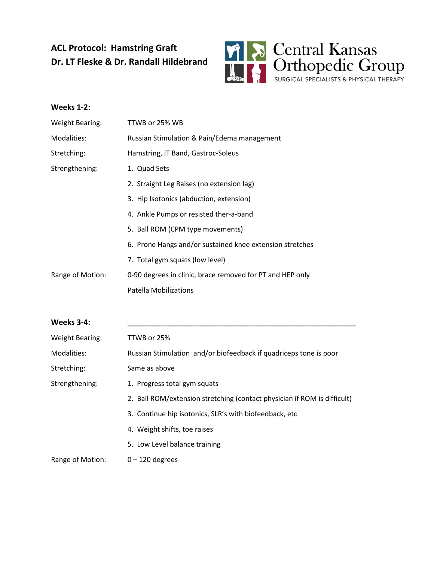## **ACL Protocol: Hamstring Graft Dr. LT Fleske & Dr. Randall Hildebrand**



# **Weeks 1-2:** Weight Bearing: TTWB or 25% WB Modalities: Russian Stimulation & Pain/Edema management Stretching: Hamstring, IT Band, Gastroc-Soleus Strengthening: 1. Quad Sets 2. Straight Leg Raises (no extension lag) 3. Hip Isotonics (abduction, extension) 4. Ankle Pumps or resisted ther-a-band 5. Ball ROM (CPM type movements) 6. Prone Hangs and/or sustained knee extension stretches 7. Total gym squats (low level) Range of Motion: 0-90 degrees in clinic, brace removed for PT and HEP only Patella Mobilizations **Weeks 3-4: \_\_\_\_\_\_\_\_\_\_\_\_\_\_\_\_\_\_\_\_\_\_\_\_\_\_\_\_\_\_\_\_\_\_\_\_\_\_\_\_\_\_\_\_\_\_\_\_\_\_\_\_\_\_** Weight Bearing: TTWB or 25% Modalities: Russian Stimulation and/or biofeedback if quadriceps tone is poor

Stretching: Same as above Strengthening: 1. Progress total gym squats 2. Ball ROM/extension stretching (contact physician if ROM is difficult) 3. Continue hip isotonics, SLR's with biofeedback, etc 4. Weight shifts, toe raises 5. Low Level balance training Range of Motion: 0 – 120 degrees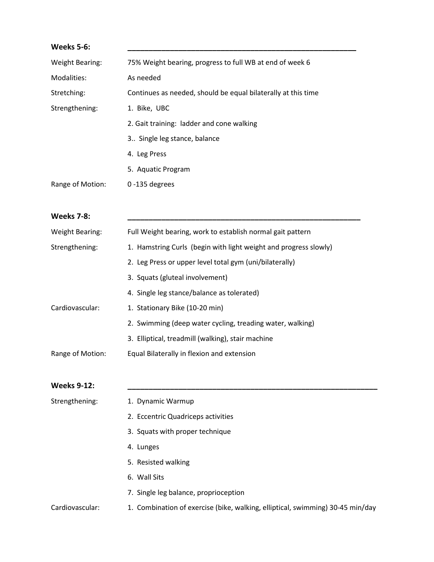| <b>Weeks 5-6:</b>      |                                                               |
|------------------------|---------------------------------------------------------------|
| <b>Weight Bearing:</b> | 75% Weight bearing, progress to full WB at end of week 6      |
| Modalities:            | As needed                                                     |
| Stretching:            | Continues as needed, should be equal bilaterally at this time |
| Strengthening:         | 1. Bike, UBC                                                  |
|                        | 2. Gait training: ladder and cone walking                     |
|                        | 3 Single leg stance, balance                                  |
|                        | 4. Leg Press                                                  |
|                        | 5. Aquatic Program                                            |
| Range of Motion:       | $0 - 135$ degrees                                             |
|                        |                                                               |

#### **Weeks 7-8: \_\_\_\_\_\_\_\_\_\_\_\_\_\_\_\_\_\_\_\_\_\_\_\_\_\_\_\_\_\_\_\_\_\_\_\_\_\_\_\_\_\_\_\_\_\_\_\_\_\_\_\_\_\_\_**

| Weight Bearing:  | Full Weight bearing, work to establish normal gait pattern       |
|------------------|------------------------------------------------------------------|
| Strengthening:   | 1. Hamstring Curls (begin with light weight and progress slowly) |
|                  | 2. Leg Press or upper level total gym (uni/bilaterally)          |
|                  | 3. Squats (gluteal involvement)                                  |
|                  | 4. Single leg stance/balance as tolerated)                       |
| Cardiovascular:  | 1. Stationary Bike (10-20 min)                                   |
|                  | 2. Swimming (deep water cycling, treading water, walking)        |
|                  | 3. Elliptical, treadmill (walking), stair machine                |
| Range of Motion: | Equal Bilaterally in flexion and extension                       |
|                  |                                                                  |

### **Weeks 9-12: \_\_\_\_\_\_\_\_\_\_\_\_\_\_\_\_\_\_\_\_\_\_\_\_\_\_\_\_\_\_\_\_\_\_\_\_\_\_\_\_\_\_\_\_\_\_\_\_\_\_\_\_\_\_\_\_\_\_\_**

| Strengthening:  | 1. Dynamic Warmup                                                              |
|-----------------|--------------------------------------------------------------------------------|
|                 | 2. Eccentric Quadriceps activities                                             |
|                 | 3. Squats with proper technique                                                |
|                 | 4. Lunges                                                                      |
|                 | 5. Resisted walking                                                            |
|                 | 6. Wall Sits                                                                   |
|                 | 7. Single leg balance, proprioception                                          |
| Cardiovascular: | 1. Combination of exercise (bike, walking, elliptical, swimming) 30-45 min/day |